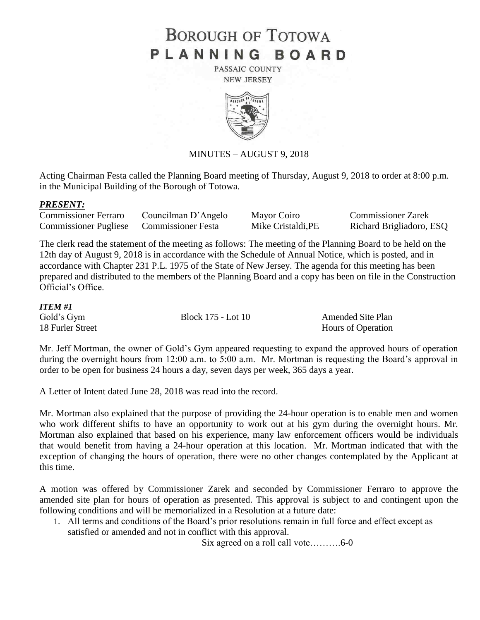# **BOROUGH OF TOTOWA** PLANNING BOARD

PASSAIC COUNTY **NEW JERSEY** 



### MINUTES – AUGUST 9, 2018

Acting Chairman Festa called the Planning Board meeting of Thursday, August 9, 2018 to order at 8:00 p.m. in the Municipal Building of the Borough of Totowa.

#### *PRESENT:*

| <b>Commissioner Ferraro</b>  | Councilman D'Angelo       | Mayor Coiro        | <b>Commissioner Zarek</b> |
|------------------------------|---------------------------|--------------------|---------------------------|
| <b>Commissioner Pugliese</b> | <b>Commissioner Festa</b> | Mike Cristaldi, PE | Richard Brigliadoro, ESQ  |

The clerk read the statement of the meeting as follows: The meeting of the Planning Board to be held on the 12th day of August 9, 2018 is in accordance with the Schedule of Annual Notice, which is posted, and in accordance with Chapter 231 P.L. 1975 of the State of New Jersey. The agenda for this meeting has been prepared and distributed to the members of the Planning Board and a copy has been on file in the Construction Official's Office.

#### *ITEM #1*

Gold's Gym Block 175 - Lot 10 Amended Site Plan 18 Furler Street Hours of Operation

Mr. Jeff Mortman, the owner of Gold's Gym appeared requesting to expand the approved hours of operation during the overnight hours from 12:00 a.m. to 5:00 a.m. Mr. Mortman is requesting the Board's approval in order to be open for business 24 hours a day, seven days per week, 365 days a year.

A Letter of Intent dated June 28, 2018 was read into the record.

Mr. Mortman also explained that the purpose of providing the 24-hour operation is to enable men and women who work different shifts to have an opportunity to work out at his gym during the overnight hours. Mr. Mortman also explained that based on his experience, many law enforcement officers would be individuals that would benefit from having a 24-hour operation at this location. Mr. Mortman indicated that with the exception of changing the hours of operation, there were no other changes contemplated by the Applicant at this time.

A motion was offered by Commissioner Zarek and seconded by Commissioner Ferraro to approve the amended site plan for hours of operation as presented. This approval is subject to and contingent upon the following conditions and will be memorialized in a Resolution at a future date:

1. All terms and conditions of the Board's prior resolutions remain in full force and effect except as satisfied or amended and not in conflict with this approval.

Six agreed on a roll call vote……….6-0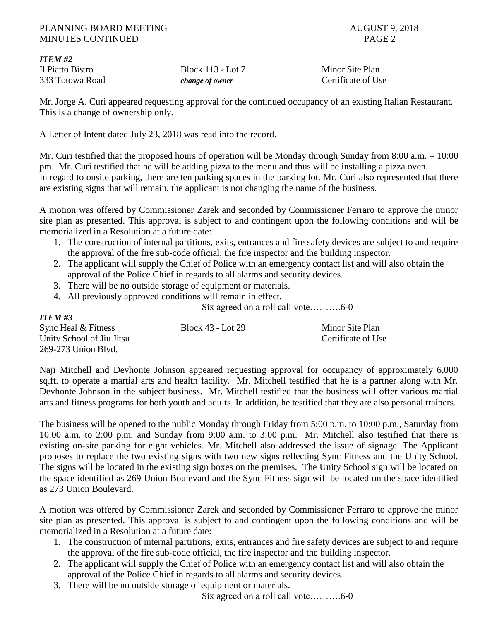*ITEM #2* Il Piatto Bistro Block 113 - Lot 7 Minor Site Plan 333 Totowa Road *change of owner* Certificate of Use

*ITEM #3* 

Mr. Jorge A. Curi appeared requesting approval for the continued occupancy of an existing Italian Restaurant. This is a change of ownership only.

A Letter of Intent dated July 23, 2018 was read into the record.

Mr. Curi testified that the proposed hours of operation will be Monday through Sunday from 8:00 a.m. – 10:00 pm. Mr. Curi testified that he will be adding pizza to the menu and thus will be installing a pizza oven. In regard to onsite parking, there are ten parking spaces in the parking lot. Mr. Curi also represented that there are existing signs that will remain, the applicant is not changing the name of the business.

A motion was offered by Commissioner Zarek and seconded by Commissioner Ferraro to approve the minor site plan as presented. This approval is subject to and contingent upon the following conditions and will be memorialized in a Resolution at a future date:

- 1. The construction of internal partitions, exits, entrances and fire safety devices are subject to and require the approval of the fire sub-code official, the fire inspector and the building inspector.
- 2. The applicant will supply the Chief of Police with an emergency contact list and will also obtain the approval of the Police Chief in regards to all alarms and security devices.
- 3. There will be no outside storage of equipment or materials.
- 4. All previously approved conditions will remain in effect.

Six agreed on a roll call vote……….6-0

| 11 LIVI #J                |                   |                    |
|---------------------------|-------------------|--------------------|
| Sync Heal & Fitness       | Block 43 - Lot 29 | Minor Site Plan    |
| Unity School of Jiu Jitsu |                   | Certificate of Use |
| 269-273 Union Blvd.       |                   |                    |

Naji Mitchell and Devhonte Johnson appeared requesting approval for occupancy of approximately 6,000 sq.ft. to operate a martial arts and health facility. Mr. Mitchell testified that he is a partner along with Mr. Devhonte Johnson in the subject business. Mr. Mitchell testified that the business will offer various martial arts and fitness programs for both youth and adults. In addition, he testified that they are also personal trainers.

The business will be opened to the public Monday through Friday from 5:00 p.m. to 10:00 p.m., Saturday from 10:00 a.m. to 2:00 p.m. and Sunday from 9:00 a.m. to 3:00 p.m. Mr. Mitchell also testified that there is existing on-site parking for eight vehicles. Mr. Mitchell also addressed the issue of signage. The Applicant proposes to replace the two existing signs with two new signs reflecting Sync Fitness and the Unity School. The signs will be located in the existing sign boxes on the premises. The Unity School sign will be located on the space identified as 269 Union Boulevard and the Sync Fitness sign will be located on the space identified as 273 Union Boulevard.

A motion was offered by Commissioner Zarek and seconded by Commissioner Ferraro to approve the minor site plan as presented. This approval is subject to and contingent upon the following conditions and will be memorialized in a Resolution at a future date:

- 1. The construction of internal partitions, exits, entrances and fire safety devices are subject to and require the approval of the fire sub-code official, the fire inspector and the building inspector.
- 2. The applicant will supply the Chief of Police with an emergency contact list and will also obtain the approval of the Police Chief in regards to all alarms and security devices.
- 3. There will be no outside storage of equipment or materials.

Six agreed on a roll call vote……….6-0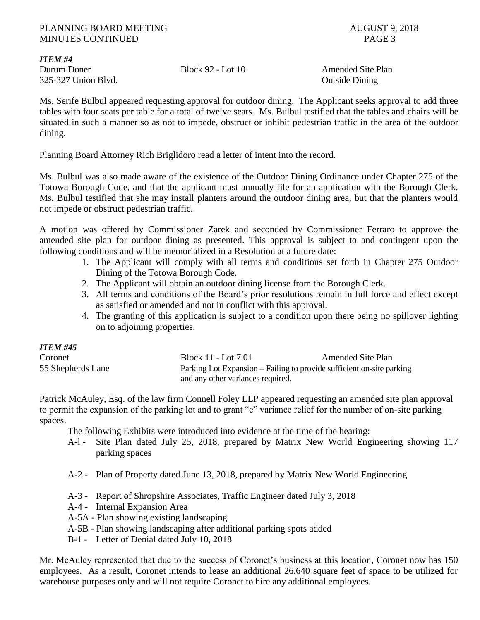*ITEM #4*

Durum Doner Block 92 - Lot 10 Amended Site Plan 325-327 Union Blvd. Outside Dining

Ms. Serife Bulbul appeared requesting approval for outdoor dining. The Applicant seeks approval to add three tables with four seats per table for a total of twelve seats. Ms. Bulbul testified that the tables and chairs will be situated in such a manner so as not to impede, obstruct or inhibit pedestrian traffic in the area of the outdoor dining.

Planning Board Attorney Rich Briglidoro read a letter of intent into the record.

Ms. Bulbul was also made aware of the existence of the Outdoor Dining Ordinance under Chapter 275 of the Totowa Borough Code, and that the applicant must annually file for an application with the Borough Clerk. Ms. Bulbul testified that she may install planters around the outdoor dining area, but that the planters would not impede or obstruct pedestrian traffic.

A motion was offered by Commissioner Zarek and seconded by Commissioner Ferraro to approve the amended site plan for outdoor dining as presented. This approval is subject to and contingent upon the following conditions and will be memorialized in a Resolution at a future date:

- 1. The Applicant will comply with all terms and conditions set forth in Chapter 275 Outdoor Dining of the Totowa Borough Code.
- 2. The Applicant will obtain an outdoor dining license from the Borough Clerk.
- 3. All terms and conditions of the Board's prior resolutions remain in full force and effect except as satisfied or amended and not in conflict with this approval.
- 4. The granting of this application is subject to a condition upon there being no spillover lighting on to adjoining properties.

# *ITEM #45*

| Coronet           | Block 11 - Lot 7.01               | <b>Amended Site Plan</b>                                              |  |
|-------------------|-----------------------------------|-----------------------------------------------------------------------|--|
| 55 Shepherds Lane |                                   | Parking Lot Expansion – Failing to provide sufficient on-site parking |  |
|                   | and any other variances required. |                                                                       |  |

Patrick McAuley, Esq. of the law firm Connell Foley LLP appeared requesting an amended site plan approval to permit the expansion of the parking lot and to grant "c" variance relief for the number of on-site parking spaces.

The following Exhibits were introduced into evidence at the time of the hearing:

- A-l Site Plan dated July 25, 2018, prepared by Matrix New World Engineering showing 117 parking spaces
- A-2 Plan of Property dated June 13, 2018, prepared by Matrix New World Engineering
- A-3 Report of Shropshire Associates, Traffic Engineer dated July 3, 2018
- A-4 Internal Expansion Area
- A-5A Plan showing existing landscaping
- A-5B Plan showing landscaping after additional parking spots added
- B-1 Letter of Denial dated July 10, 2018

Mr. McAuley represented that due to the success of Coronet's business at this location, Coronet now has 150 employees. As a result, Coronet intends to lease an additional 26,640 square feet of space to be utilized for warehouse purposes only and will not require Coronet to hire any additional employees.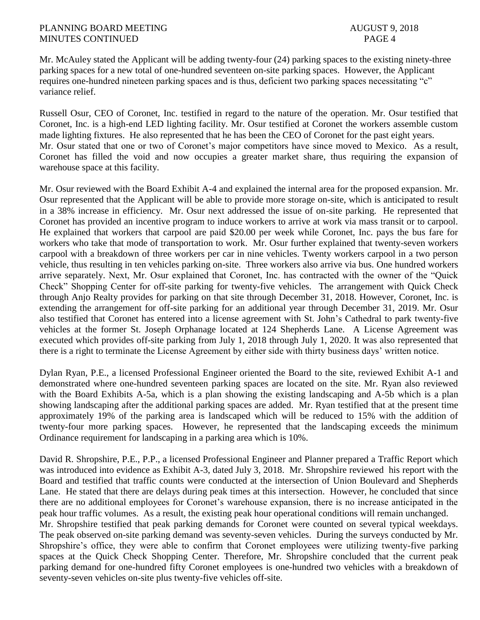Mr. McAuley stated the Applicant will be adding twenty-four (24) parking spaces to the existing ninety-three parking spaces for a new total of one-hundred seventeen on-site parking spaces. However, the Applicant requires one-hundred nineteen parking spaces and is thus, deficient two parking spaces necessitating "c" variance relief.

Russell Osur, CEO of Coronet, Inc. testified in regard to the nature of the operation. Mr. Osur testified that Coronet, Inc. is a high-end LED lighting facility. Mr. Osur testified at Coronet the workers assemble custom made lighting fixtures. He also represented that he has been the CEO of Coronet for the past eight years. Mr. Osur stated that one or two of Coronet's major competitors have since moved to Mexico. As a result, Coronet has filled the void and now occupies a greater market share, thus requiring the expansion of warehouse space at this facility.

Mr. Osur reviewed with the Board Exhibit A-4 and explained the internal area for the proposed expansion. Mr. Osur represented that the Applicant will be able to provide more storage on-site, which is anticipated to result in a 38% increase in efficiency. Mr. Osur next addressed the issue of on-site parking. He represented that Coronet has provided an incentive program to induce workers to arrive at work via mass transit or to carpool. He explained that workers that carpool are paid \$20.00 per week while Coronet, Inc. pays the bus fare for workers who take that mode of transportation to work. Mr. Osur further explained that twenty-seven workers carpool with a breakdown of three workers per car in nine vehicles. Twenty workers carpool in a two person vehicle, thus resulting in ten vehicles parking on-site. Three workers also arrive via bus. One hundred workers arrive separately. Next, Mr. Osur explained that Coronet, Inc. has contracted with the owner of the "Quick Check" Shopping Center for off-site parking for twenty-five vehicles. The arrangement with Quick Check through Anjo Realty provides for parking on that site through December 31, 2018. However, Coronet, Inc. is extending the arrangement for off-site parking for an additional year through December 31, 2019. Mr. Osur also testified that Coronet has entered into a license agreement with St. John's Cathedral to park twenty-five vehicles at the former St. Joseph Orphanage located at 124 Shepherds Lane. A License Agreement was executed which provides off-site parking from July 1, 2018 through July 1, 2020. It was also represented that there is a right to terminate the License Agreement by either side with thirty business days' written notice.

Dylan Ryan, P.E., a licensed Professional Engineer oriented the Board to the site, reviewed Exhibit A-1 and demonstrated where one-hundred seventeen parking spaces are located on the site. Mr. Ryan also reviewed with the Board Exhibits A-5a, which is a plan showing the existing landscaping and A-5b which is a plan showing landscaping after the additional parking spaces are added. Mr. Ryan testified that at the present time approximately 19% of the parking area is landscaped which will be reduced to 15% with the addition of twenty-four more parking spaces. However, he represented that the landscaping exceeds the minimum Ordinance requirement for landscaping in a parking area which is 10%.

David R. Shropshire, P.E., P.P., a licensed Professional Engineer and Planner prepared a Traffic Report which was introduced into evidence as Exhibit A-3, dated July 3, 2018. Mr. Shropshire reviewed his report with the Board and testified that traffic counts were conducted at the intersection of Union Boulevard and Shepherds Lane. He stated that there are delays during peak times at this intersection. However, he concluded that since there are no additional employees for Coronet's warehouse expansion, there is no increase anticipated in the peak hour traffic volumes. As a result, the existing peak hour operational conditions will remain unchanged. Mr. Shropshire testified that peak parking demands for Coronet were counted on several typical weekdays. The peak observed on-site parking demand was seventy-seven vehicles. During the surveys conducted by Mr. Shropshire's office, they were able to confirm that Coronet employees were utilizing twenty-five parking spaces at the Quick Check Shopping Center. Therefore, Mr. Shropshire concluded that the current peak parking demand for one-hundred fifty Coronet employees is one-hundred two vehicles with a breakdown of

seventy-seven vehicles on-site plus twenty-five vehicles off-site.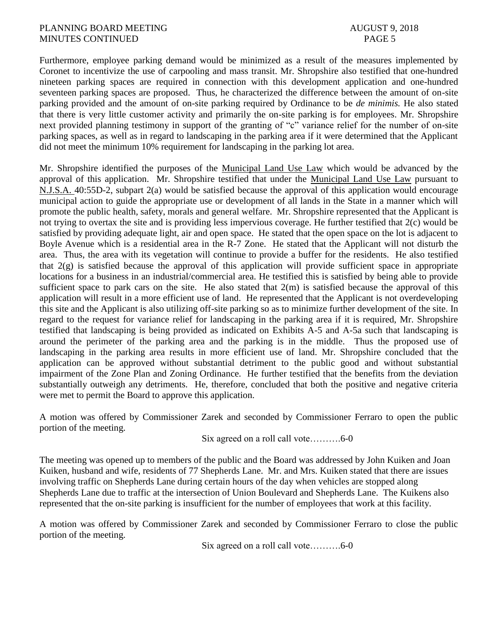Furthermore, employee parking demand would be minimized as a result of the measures implemented by Coronet to incentivize the use of carpooling and mass transit. Mr. Shropshire also testified that one-hundred nineteen parking spaces are required in connection with this development application and one-hundred seventeen parking spaces are proposed. Thus, he characterized the difference between the amount of on-site parking provided and the amount of on-site parking required by Ordinance to be *de minimis.* He also stated that there is very little customer activity and primarily the on-site parking is for employees. Mr. Shropshire next provided planning testimony in support of the granting of "c" variance relief for the number of on-site parking spaces, as well as in regard to landscaping in the parking area if it were determined that the Applicant did not meet the minimum 10% requirement for landscaping in the parking lot area.

Mr. Shropshire identified the purposes of the Municipal Land Use Law which would be advanced by the approval of this application. Mr. Shropshire testified that under the Municipal Land Use Law pursuant to N.J.S.A. 40:55D-2, subpart 2(a) would be satisfied because the approval of this application would encourage municipal action to guide the appropriate use or development of all lands in the State in a manner which will promote the public health, safety, morals and general welfare. Mr. Shropshire represented that the Applicant is not trying to overtax the site and is providing less impervious coverage. He further testified that 2(c) would be satisfied by providing adequate light, air and open space. He stated that the open space on the lot is adjacent to Boyle Avenue which is a residential area in the R-7 Zone. He stated that the Applicant will not disturb the area. Thus, the area with its vegetation will continue to provide a buffer for the residents. He also testified that 2(g) is satisfied because the approval of this application will provide sufficient space in appropriate locations for a business in an industrial/commercial area. He testified this is satisfied by being able to provide sufficient space to park cars on the site. He also stated that  $2(m)$  is satisfied because the approval of this application will result in a more efficient use of land. He represented that the Applicant is not overdeveloping this site and the Applicant is also utilizing off-site parking so as to minimize further development of the site. In regard to the request for variance relief for landscaping in the parking area if it is required, Mr. Shropshire testified that landscaping is being provided as indicated on Exhibits A-5 and A-5a such that landscaping is around the perimeter of the parking area and the parking is in the middle. Thus the proposed use of landscaping in the parking area results in more efficient use of land. Mr. Shropshire concluded that the application can be approved without substantial detriment to the public good and without substantial impairment of the Zone Plan and Zoning Ordinance. He further testified that the benefits from the deviation substantially outweigh any detriments. He, therefore, concluded that both the positive and negative criteria were met to permit the Board to approve this application.

A motion was offered by Commissioner Zarek and seconded by Commissioner Ferraro to open the public portion of the meeting.

Six agreed on a roll call vote……….6-0

The meeting was opened up to members of the public and the Board was addressed by John Kuiken and Joan Kuiken, husband and wife, residents of 77 Shepherds Lane. Mr. and Mrs. Kuiken stated that there are issues involving traffic on Shepherds Lane during certain hours of the day when vehicles are stopped along Shepherds Lane due to traffic at the intersection of Union Boulevard and Shepherds Lane. The Kuikens also represented that the on-site parking is insufficient for the number of employees that work at this facility.

A motion was offered by Commissioner Zarek and seconded by Commissioner Ferraro to close the public portion of the meeting.

Six agreed on a roll call vote……….6-0